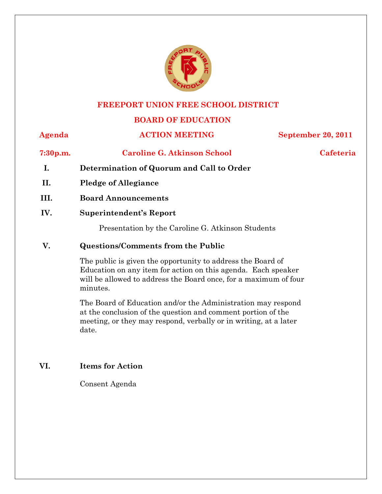

#### **FREEPORT UNION FREE SCHOOL DISTRICT**

### **BOARD OF EDUCATION**

#### **Agenda ACTION MEETING September 20, 2011**

**7:30p.m. Caroline G. Atkinson School Cafeteria**

- **I. Determination of Quorum and Call to Order**
- **II. Pledge of Allegiance**
- **III. Board Announcements**
- **IV. Superintendent's Report**

Presentation by the Caroline G. Atkinson Students

#### **V. Questions/Comments from the Public**

The public is given the opportunity to address the Board of Education on any item for action on this agenda. Each speaker will be allowed to address the Board once, for a maximum of four minutes.

The Board of Education and/or the Administration may respond at the conclusion of the question and comment portion of the meeting, or they may respond, verbally or in writing, at a later date.

#### **VI. Items for Action**

Consent Agenda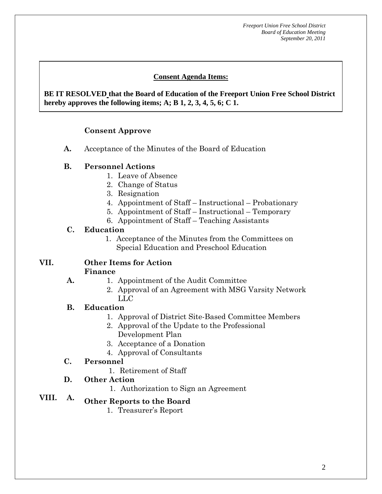### **Consent Agenda Items:**

 *Acceptance of the Minutes*  $\mathbf{A}$ **BE IT RESOLVED that the Board of Education of the Freeport Union Free School District hereby approves the following items; A; B 1, 2, 3, 4, 5, 6; C 1.** 

## **Consent Approve**

**A.** Acceptance of the Minutes of the Board of Education

#### **B. Personnel Actions**

 **AA. Consent - Approve** 

- 1. Leave of Absence
- 2. Change of Status
- 3. Resignation
- 4. Appointment of Staff Instructional Probationary
- 5. Appointment of Staff Instructional Temporary
- 6. Appointment of Staff Teaching Assistants

#### **C. Education**

1. Acceptance of the Minutes from the Committees on Special Education and Preschool Education

#### **VII. Other Items for Action Finance**

- 1. Appointment of the Audit Committee
	- 2. Approval of an Agreement with MSG Varsity Network LLC

#### **B. Education**

**A.** 

- 1. Approval of District Site-Based Committee Members
- 2. Approval of the Update to the Professional Development Plan
- 3. Acceptance of a Donation
- 4. Approval of Consultants

### **C. Personnel**

- 1. Retirement of Staff
- **D. Other Action** 
	- 1. Authorization to Sign an Agreement

# **VIII. A. Other Reports to the Board**

1. Treasurer's Report